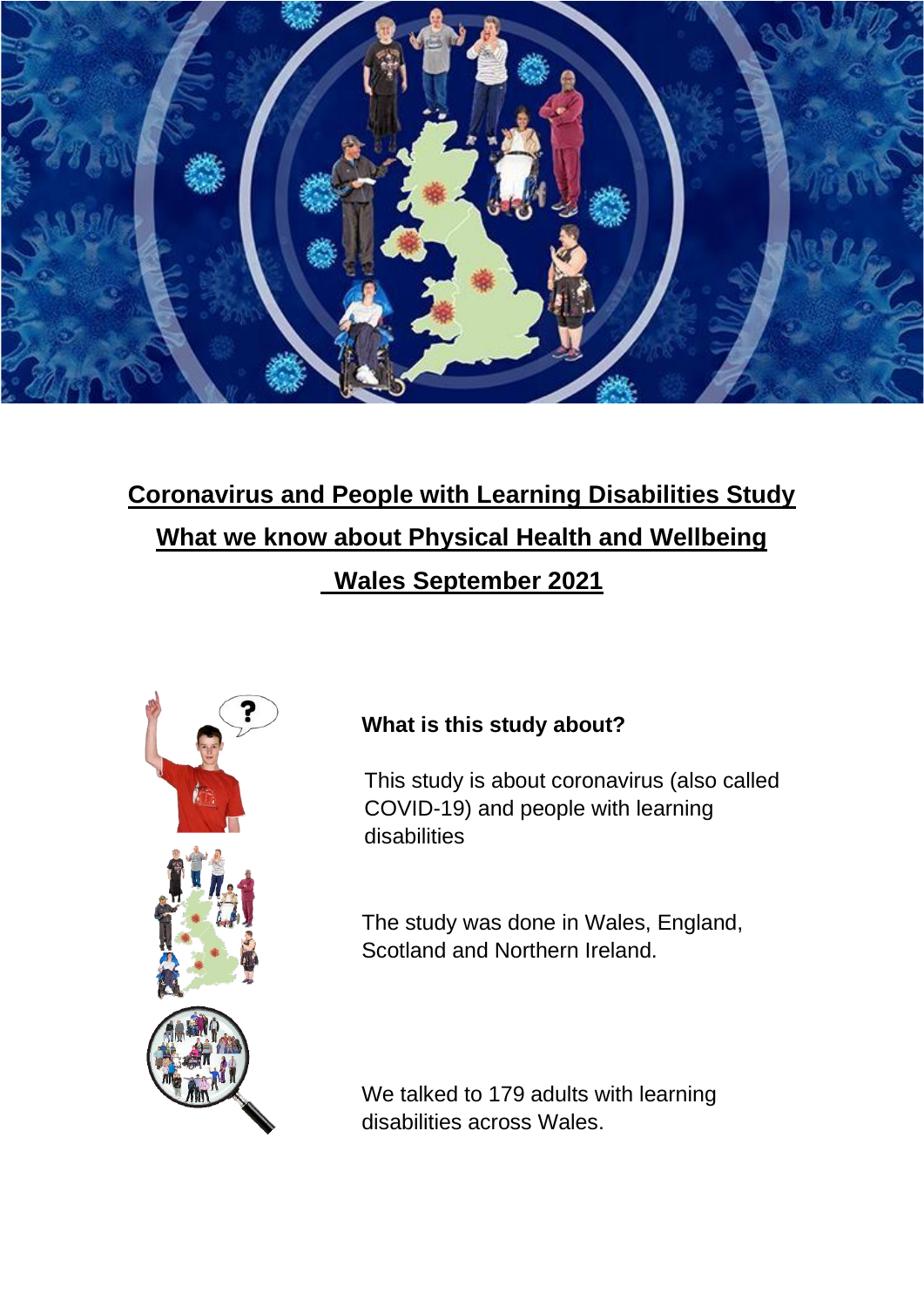

# **Coronavirus and People with Learning Disabilities Study What we know about Physical Health and Wellbeing Wales September 2021**



## **What is this study about?**

This study is about coronavirus (also called COVID-19) and people with learning disabilities

The study was done in Wales, England, Scotland and Northern Ireland.

We talked to 179 adults with learning disabilities across Wales.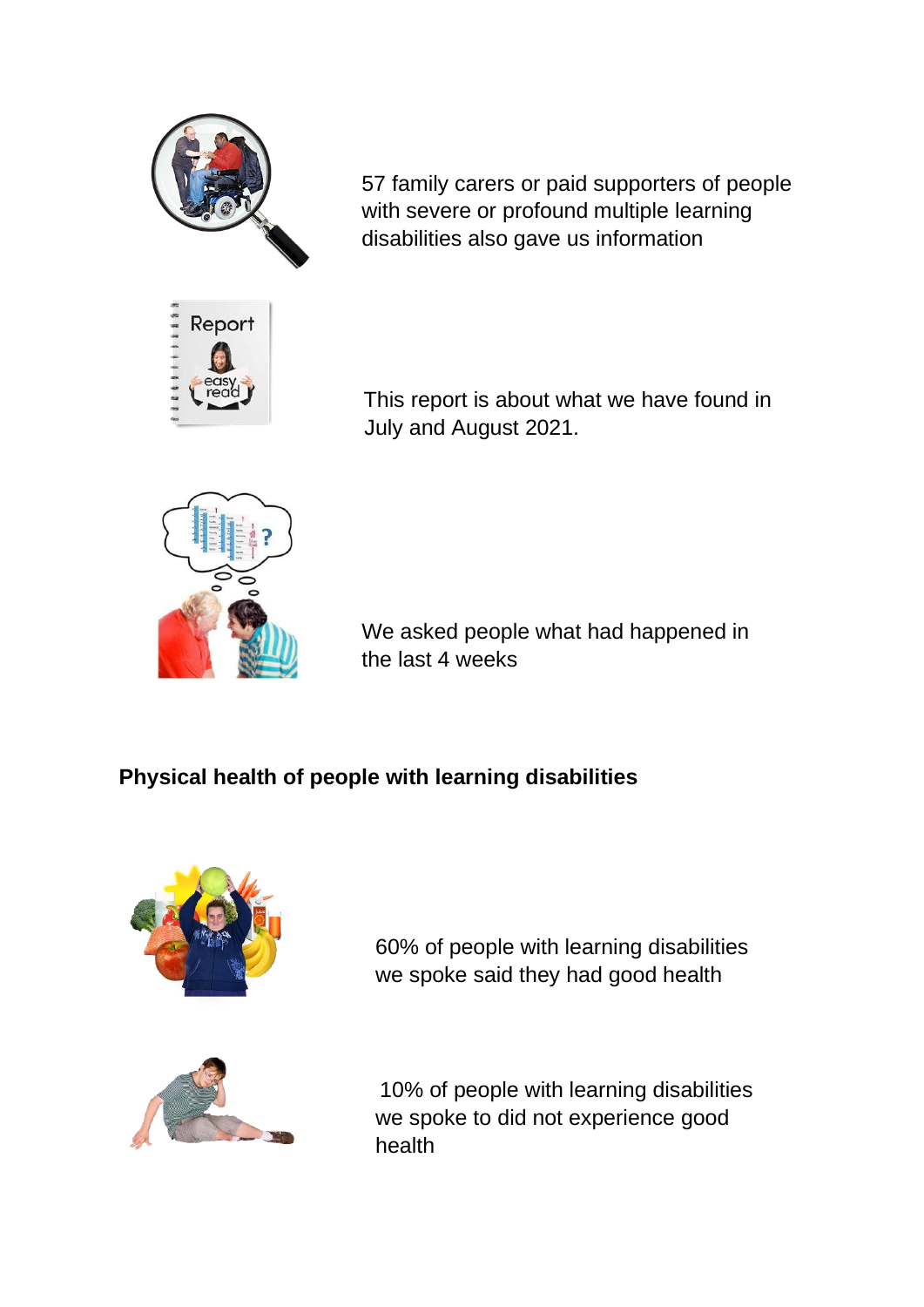

Report

57 family carers or paid supporters of people with severe or profound multiple learning disabilities also gave us information

This report is about what we have found in July and August 2021.



We asked people what had happened in the last 4 weeks

## **Physical health of people with learning disabilities**



60% of people with learning disabilities we spoke said they had good health

10% of people with learning disabilities we spoke to did not experience good health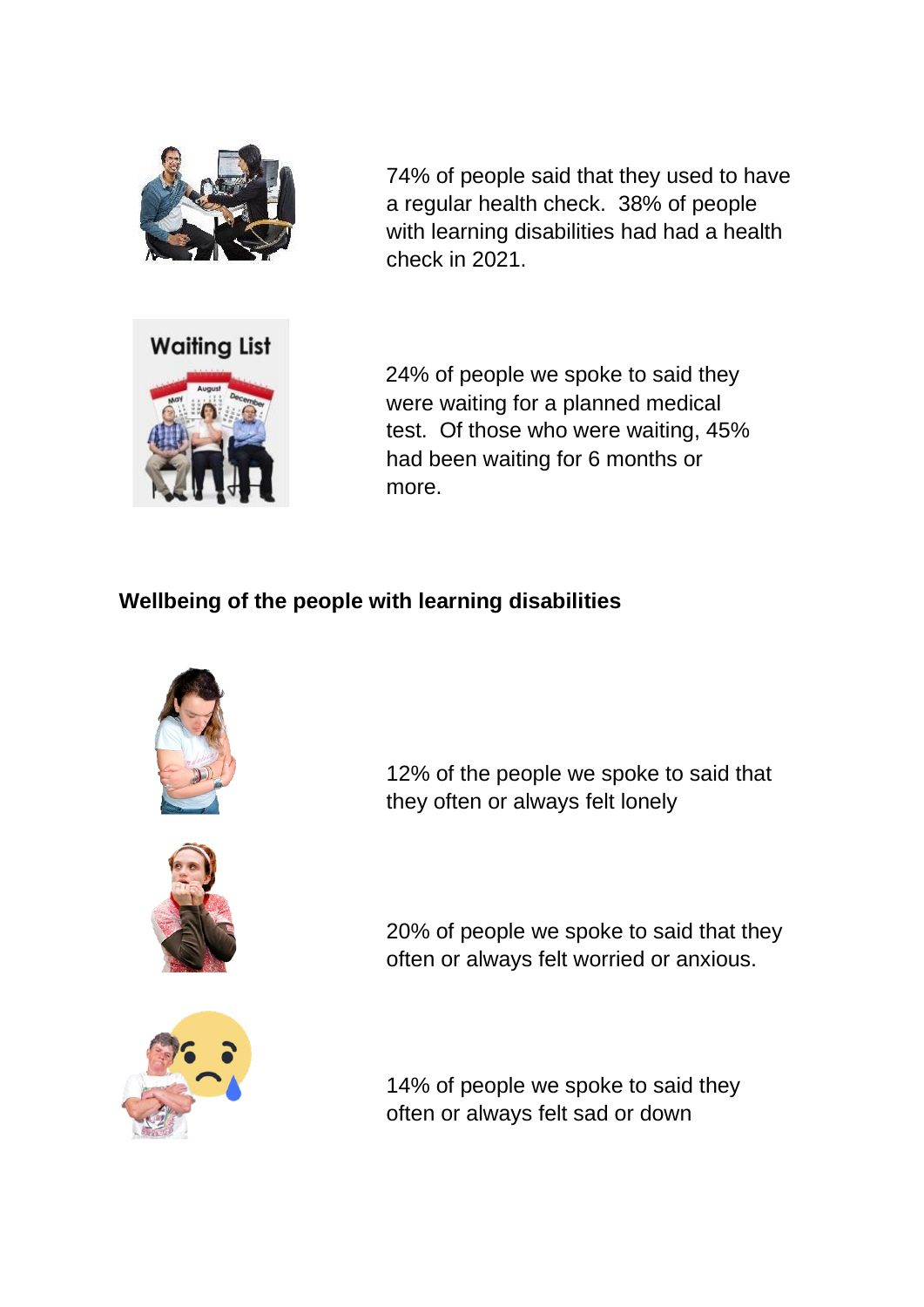

74% of people said that they used to have a regular health check. 38% of people with learning disabilities had had a health check in 2021.



24% of people we spoke to said they were waiting for a planned medical test. Of those who were waiting, 45% had been waiting for 6 months or more.

### **Wellbeing of the people with learning disabilities**





12% of the people we spoke to said that they often or always felt lonely

20% of people we spoke to said that they often or always felt worried or anxious.



14% of people we spoke to said they often or always felt sad or down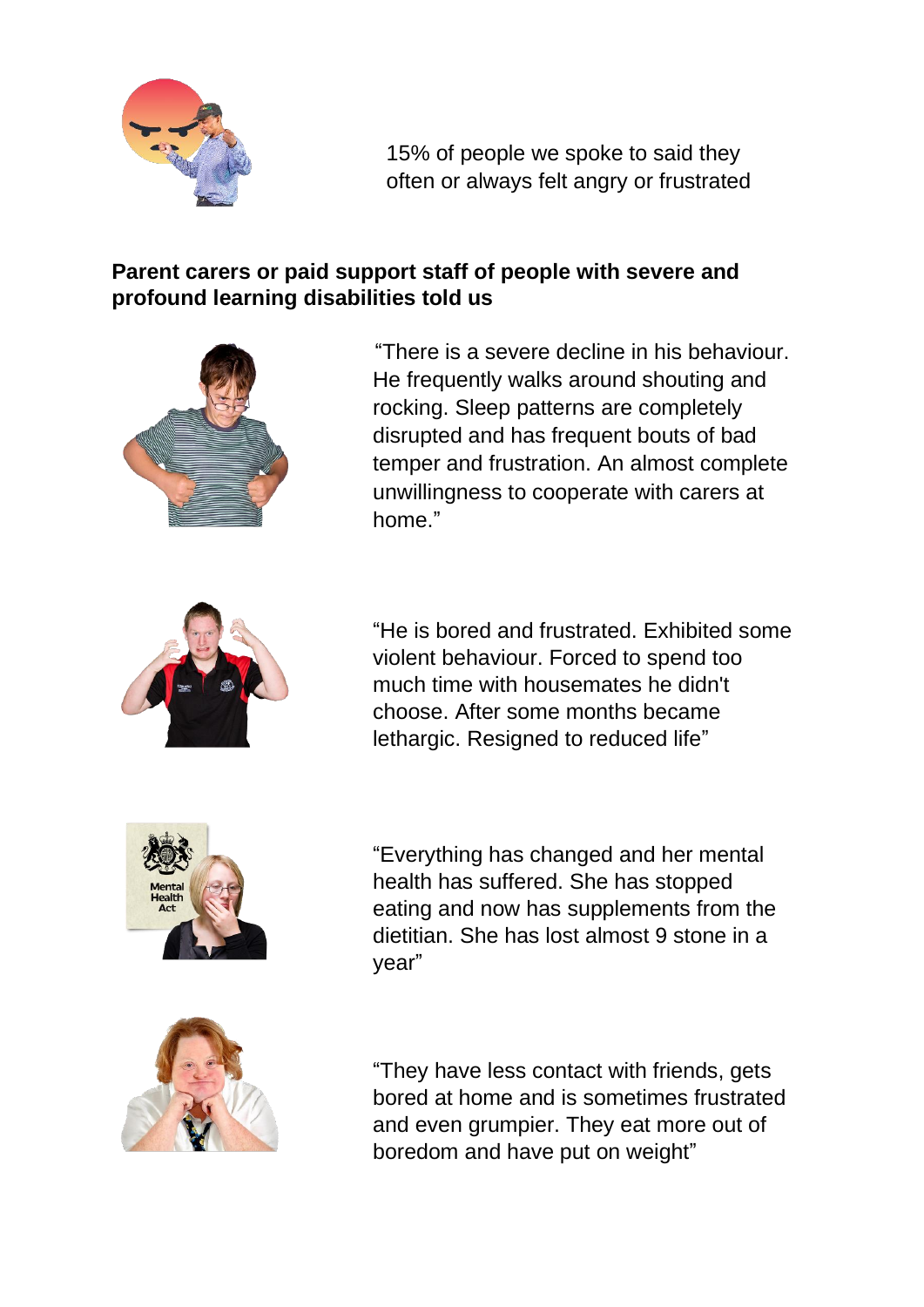

15% of people we spoke to said they often or always felt angry or frustrated

### **Parent carers or paid support staff of people with severe and profound learning disabilities told us**



"There is a severe decline in his behaviour. He frequently walks around shouting and rocking. Sleep patterns are completely disrupted and has frequent bouts of bad temper and frustration. An almost complete unwillingness to cooperate with carers at home."



"He is bored and frustrated. Exhibited some violent behaviour. Forced to spend too much time with housemates he didn't choose. After some months became lethargic. Resigned to reduced life"



"Everything has changed and her mental health has suffered. She has stopped eating and now has supplements from the dietitian. She has lost almost 9 stone in a year"



"They have less contact with friends, gets bored at home and is sometimes frustrated and even grumpier. They eat more out of boredom and have put on weight"